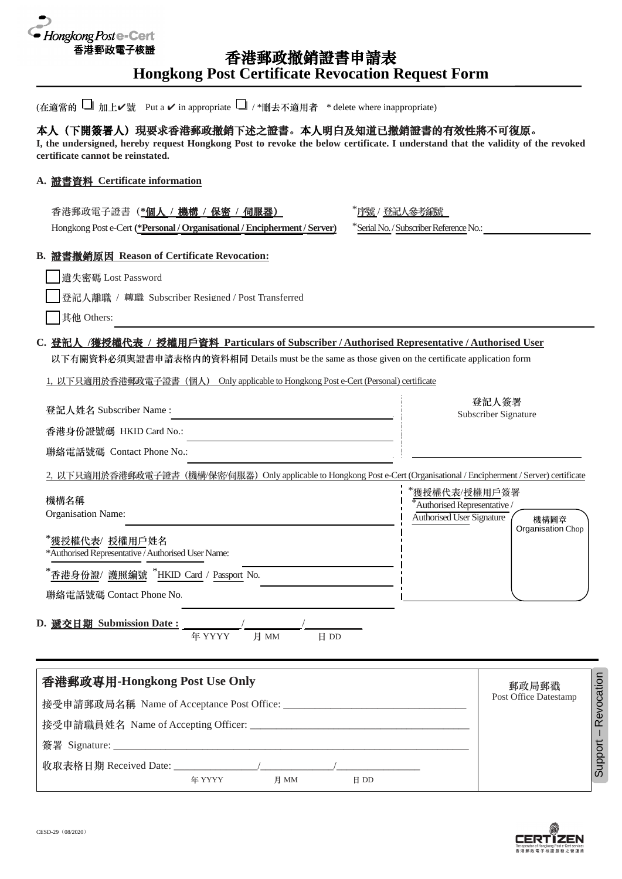

# 香港郵政撤銷證書申請表 **Hongkong Post Certificate Revocation Request Form**

| (在適當的 ■ 加上ノ號 Put a √ in appropriate ■ / *刪去不適用者 * delete where inappropriate)                                                                                                                                                                                                               |                                                                            |                               |
|---------------------------------------------------------------------------------------------------------------------------------------------------------------------------------------------------------------------------------------------------------------------------------------------|----------------------------------------------------------------------------|-------------------------------|
| 本人(下開簽署人)現要求香港郵政撤銷下述之證書。本人明白及知道已撤銷證書的有效性將不可復原。<br>I, the undersigned, hereby request Hongkong Post to revoke the below certificate. I understand that the validity of the revoked<br>certificate cannot be reinstated.                                                                      |                                                                            |                               |
| A. 證書資料 Certificate information                                                                                                                                                                                                                                                             |                                                                            |                               |
| 香港郵政電子證書( <u>*個人 / 機構 / 保密 / 伺服器)</u><br>Hongkong Post e-Cert (*Personal / Organisational / Encipherment / Server)                                                                                                                                                                          | "序號 / 登記人參考編號<br>*Serial No. / Subscriber Reference No.:                   |                               |
| B. 證書撤銷原因 Reason of Certificate Revocation:<br>遺失密碼 Lost Password                                                                                                                                                                                                                           |                                                                            |                               |
| 登記人離職 / 轉職 Subscriber Resigned / Post Transferred<br>其他 Others:                                                                                                                                                                                                                             |                                                                            |                               |
| C. 登記人 /獲授權代表 / 授權用戶資料 Particulars of Subscriber / Authorised Representative / Authorised User<br>以下有關資料必須與證書申請表格内的資料相同 Details must be the same as those given on the certificate application form<br>1, 以下只適用於香港郵政電子證書(個人) Only applicable to Hongkong Post e-Cert (Personal) certificate |                                                                            |                               |
| 登記人姓名 Subscriber Name:<br>香港身份證號碼 HKID Card No.:                                                                                                                                                                                                                                            |                                                                            | 登記人簽署<br>Subscriber Signature |
| 聯絡電話號碼 Contact Phone No.:                                                                                                                                                                                                                                                                   |                                                                            |                               |
| 2, 以下只適用於香港郵政電子證書 (機構/保密/伺服器) Only applicable to Hongkong Post e-Cert (Organisational / Encipherment / Server) certificate                                                                                                                                                                  |                                                                            |                               |
| 機構名稱<br>Organisation Name:                                                                                                                                                                                                                                                                  | '獲授權代表/授權用戶簽署<br>*Authorised Representative /<br>Authorised User Signature | 機構圖章                          |
| *獲授權代表/ 授權用戶姓名<br>*Authorised Representative / Authorised User Name:                                                                                                                                                                                                                        |                                                                            | Organisation Chop             |
| 香港身份證/ 護照編號 *HKID Card / Passport No.<br>聯絡電話號碼 Contact Phone No.                                                                                                                                                                                                                           |                                                                            |                               |
| D. 遞交日期 Submission Date:<br>年 YYYY<br>月 MM<br>日 DD                                                                                                                                                                                                                                          |                                                                            |                               |
| 香港郵政專用-Hongkong Post Use Only                                                                                                                                                                                                                                                               |                                                                            | 郵政局郵戳                         |
|                                                                                                                                                                                                                                                                                             |                                                                            | Post Office Datestamp         |
|                                                                                                                                                                                                                                                                                             |                                                                            |                               |

年 YYYY 月 MM 日 DD

收取表格日期 Received Date:

Support - Revocation – Revocation